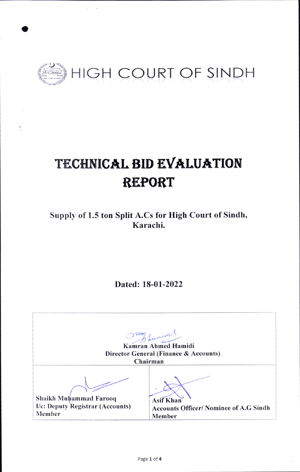

# TECHNICAL BID EVALUATION **REPORT**

Supply of 1.5 ton Split A.Cs for High Court of Sindh, Karachi.

Dated: 18-01-2022

Turner Kamran Ahmed Hamidi Director General (Finance & Accounts) Chairman Shaikh Muhammad Farooq **Asif Khan** I/c: Deputy Registrar (Accounts) **Accounts Officer/ Nominee of A.G Sindh** Member Member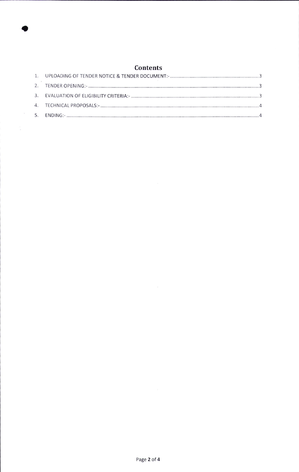# Contents

a

 $\label{eq:2} \begin{array}{c} \frac{1}{2} \left( \frac{1}{2} \right) \\ \frac{1}{2} \left( \frac{1}{2} \right) \\ \frac{1}{2} \left( \frac{1}{2} \right) \end{array}$